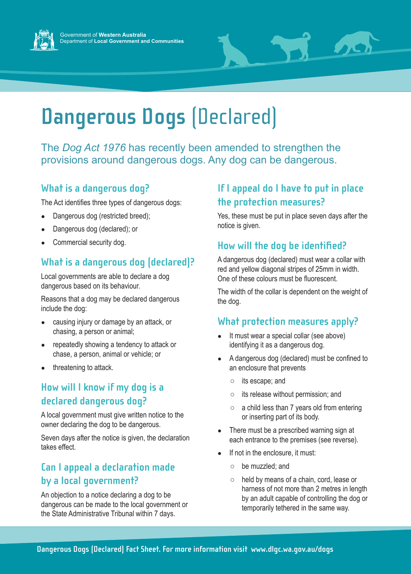



# **Dangerous Dogs** (Declared)

The *Dog Act 1976* has recently been amended to strengthen the provisions around dangerous dogs. Any dog can be dangerous.

#### **What is a dangerous dog?**

The Act identifies three types of dangerous dogs:

- Dangerous dog (restricted breed);
- Dangerous dog (declared); or
- Commercial security dog.

# **What is a dangerous dog (declared)?**

Local governments are able to declare a dog dangerous based on its behaviour.

Reasons that a dog may be declared dangerous include the dog:

- causing injury or damage by an attack, or chasing, a person or animal;
- repeatedly showing a tendency to attack or chase, a person, animal or vehicle; or
- threatening to attack.

### **How will I know if my dog is a declared dangerous dog?**

A local government must give written notice to the owner declaring the dog to be dangerous.

Seven days after the notice is given, the declaration takes effect.

# **Can I appeal a declaration made by a local government?**

An objection to a notice declaring a dog to be dangerous can be made to the local government or the State Administrative Tribunal within 7 days.

# **If I appeal do I have to put in place the protection measures?**

Yes, these must be put in place seven days after the notice is given.

# **How will the dog be identified?**

A dangerous dog (declared) must wear a collar with red and yellow diagonal stripes of 25mm in width. One of these colours must be fluorescent.

The width of the collar is dependent on the weight of the dog.

### **What protection measures apply?**

- It must wear a special collar (see above) identifying it as a dangerous dog.
- A dangerous dog (declared) must be confined to an enclosure that prevents
	- its escape; and
	- its release without permission; and
	- $\circ$  a child less than 7 years old from entering or inserting part of its body.
- There must be a prescribed warning sign at each entrance to the premises (see reverse).
- If not in the enclosure, it must:
	- be muzzled; and
	- held by means of a chain, cord, lease or harness of not more than 2 metres in length by an adult capable of controlling the dog or temporarily tethered in the same way.